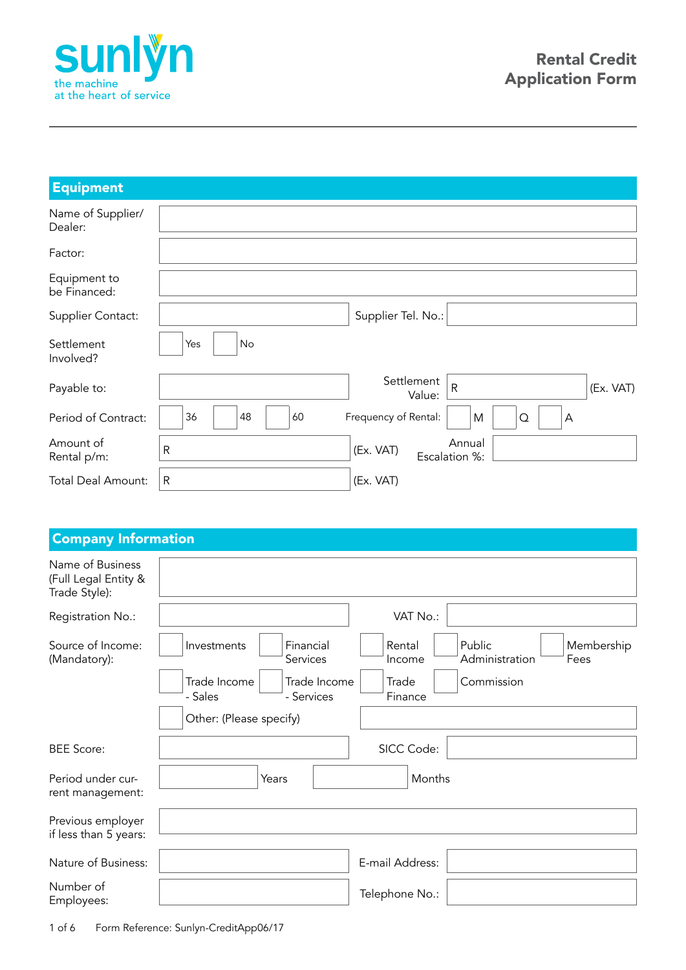

| <b>Equipment</b>             |                |                                                   |
|------------------------------|----------------|---------------------------------------------------|
| Name of Supplier/<br>Dealer: |                |                                                   |
| Factor:                      |                |                                                   |
| Equipment to<br>be Financed: |                |                                                   |
| Supplier Contact:            |                | Supplier Tel. No.:                                |
| Settlement<br>Involved?      | No<br>Yes      |                                                   |
| Payable to:                  |                | Settlement<br>$\mathsf{R}$<br>(Ex. VAT)<br>Value: |
| Period of Contract:          | 60<br>48<br>36 | Frequency of Rental:<br>M<br>$\Omega$<br>Α        |
| Amount of<br>Rental p/m:     | $\mathsf R$    | Annual<br>(Ex. VAT)<br>Escalation %:              |
| <b>Total Deal Amount:</b>    | $\mathsf{R}$   | (Ex. VAT)                                         |

## Company Information

| Name of Business<br>(Full Legal Entity &<br>Trade Style): |                                                                                                            |
|-----------------------------------------------------------|------------------------------------------------------------------------------------------------------------|
| Registration No.:                                         | VAT No.:                                                                                                   |
| Source of Income:<br>(Mandatory):                         | Public<br>Financial<br>Rental<br>Membership<br>Investments<br>Services<br>Administration<br>Fees<br>Income |
|                                                           | Trade Income<br>Trade Income<br>Trade<br>Commission<br>- Sales<br>- Services<br>Finance                    |
|                                                           | Other: (Please specify)                                                                                    |
| <b>BEE Score:</b>                                         | SICC Code:                                                                                                 |
| Period under cur-<br>rent management:                     | Months<br>Years                                                                                            |
| Previous employer<br>if less than 5 years:                |                                                                                                            |
| Nature of Business:                                       | E-mail Address:                                                                                            |
| Number of<br>Employees:                                   | Telephone No.:                                                                                             |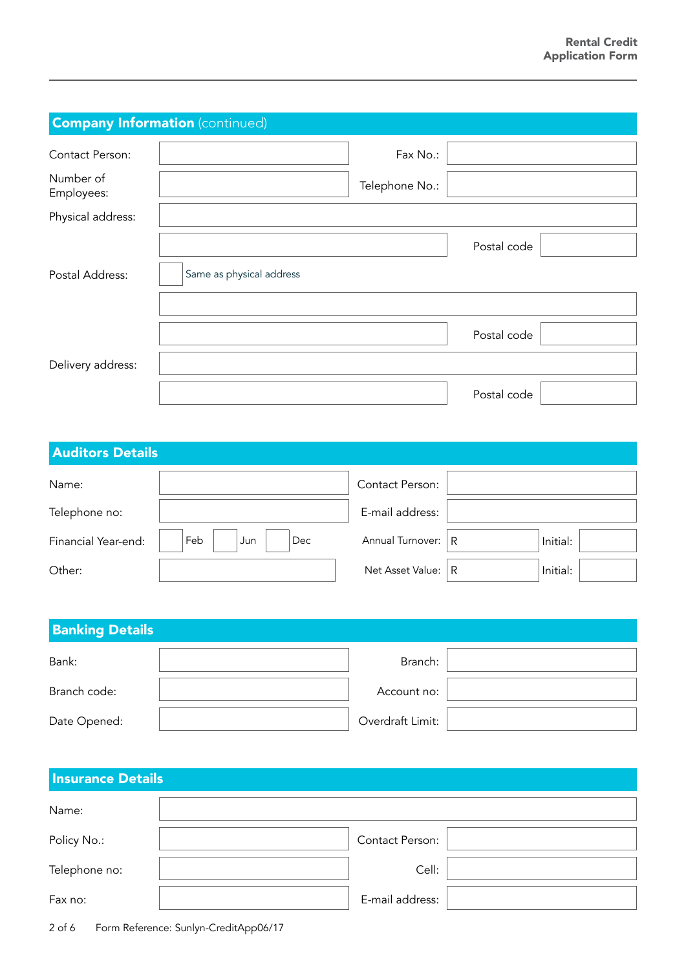| <b>Company Information (continued)</b> |                          |                |             |  |
|----------------------------------------|--------------------------|----------------|-------------|--|
| Contact Person:                        |                          | Fax No.:       |             |  |
| Number of<br>Employees:                |                          | Telephone No.: |             |  |
| Physical address:                      |                          |                |             |  |
|                                        |                          |                | Postal code |  |
| Postal Address:                        | Same as physical address |                |             |  |
|                                        |                          |                |             |  |
|                                        |                          |                | Postal code |  |
| Delivery address:                      |                          |                |             |  |
|                                        |                          |                | Postal code |  |

| <b>Auditors Details</b> |                   |                        |   |          |
|-------------------------|-------------------|------------------------|---|----------|
| Name:                   |                   | <b>Contact Person:</b> |   |          |
| Telephone no:           |                   | E-mail address:        |   |          |
| Financial Year-end:     | Feb<br>Dec<br>Jun | Annual Turnover:       | R | Initial: |
| Other:                  |                   | Net Asset Value:       | R | Initial: |

| <b>Banking Details</b> |  |                  |  |
|------------------------|--|------------------|--|
| Bank:                  |  | Branch:          |  |
| Branch code:           |  | Account no:      |  |
| Date Opened:           |  | Overdraft Limit: |  |

| <b>Insurance Details</b> |                 |  |
|--------------------------|-----------------|--|
| Name:                    |                 |  |
| Policy No.:              | Contact Person: |  |
| Telephone no:            | Cell:           |  |
| Fax no:                  | E-mail address: |  |

2 of 6 Form Reference: Sunlyn-CreditApp06/17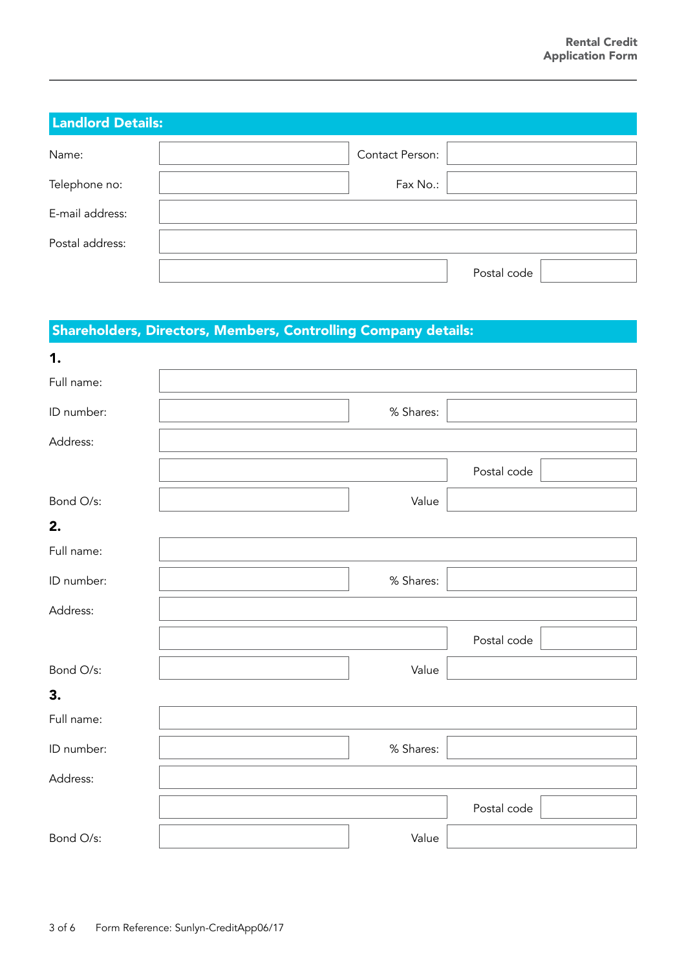| <b>Landlord Details:</b> |                 |             |  |
|--------------------------|-----------------|-------------|--|
| Name:                    | Contact Person: |             |  |
| Telephone no:            | Fax No.:        |             |  |
| E-mail address:          |                 |             |  |
| Postal address:          |                 |             |  |
|                          |                 | Postal code |  |

## Shareholders, Directors, Members, Controlling Company details:

| 1.         |           |             |
|------------|-----------|-------------|
| Full name: |           |             |
| ID number: | % Shares: |             |
| Address:   |           |             |
|            |           | Postal code |
| Bond O/s:  | Value     |             |
| 2.         |           |             |
| Full name: |           |             |
| ID number: | % Shares: |             |
| Address:   |           |             |
|            |           | Postal code |
| Bond O/s:  | Value     |             |
| 3.         |           |             |
| Full name: |           |             |
| ID number: | % Shares: |             |
| Address:   |           |             |
|            |           | Postal code |
| Bond O/s:  | Value     |             |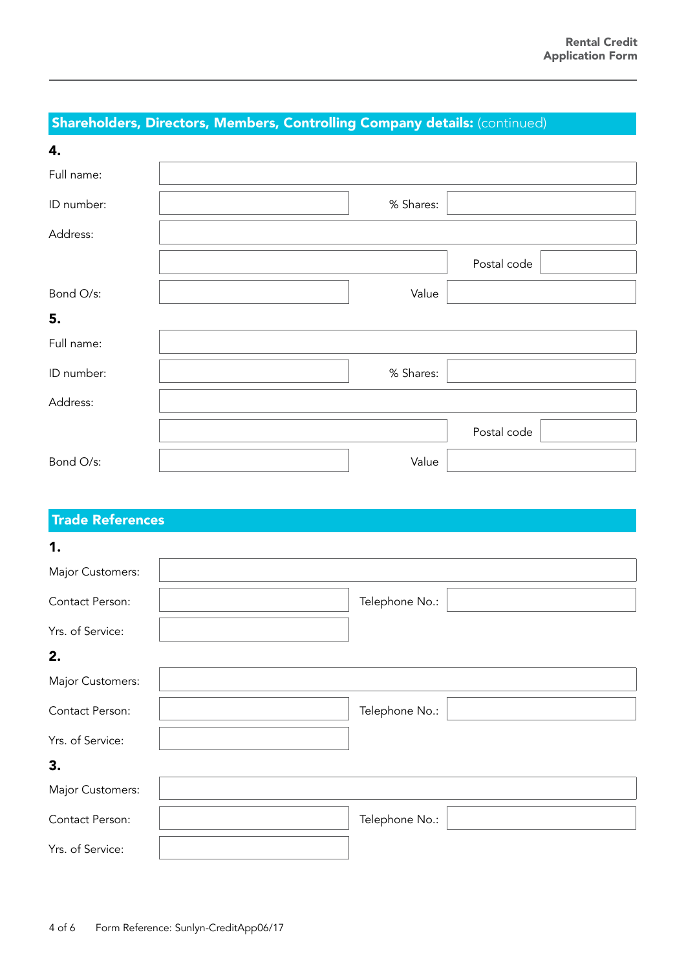# Shareholders, Directors, Members, Controlling Company details: (continued)

| 4.         |           |             |
|------------|-----------|-------------|
| Full name: |           |             |
| ID number: | % Shares: |             |
| Address:   |           |             |
|            |           | Postal code |
| Bond O/s:  | Value     |             |
| 5.         |           |             |
| Full name: |           |             |
| ID number: | % Shares: |             |
| Address:   |           |             |
|            |           | Postal code |
| Bond O/s:  | Value     |             |

## Trade References

| 1.               |                |
|------------------|----------------|
| Major Customers: |                |
| Contact Person:  | Telephone No.: |
| Yrs. of Service: |                |
| 2.               |                |
| Major Customers: |                |
| Contact Person:  | Telephone No.: |
| Yrs. of Service: |                |
| 3.               |                |
| Major Customers: |                |
| Contact Person:  | Telephone No.: |
| Yrs. of Service: |                |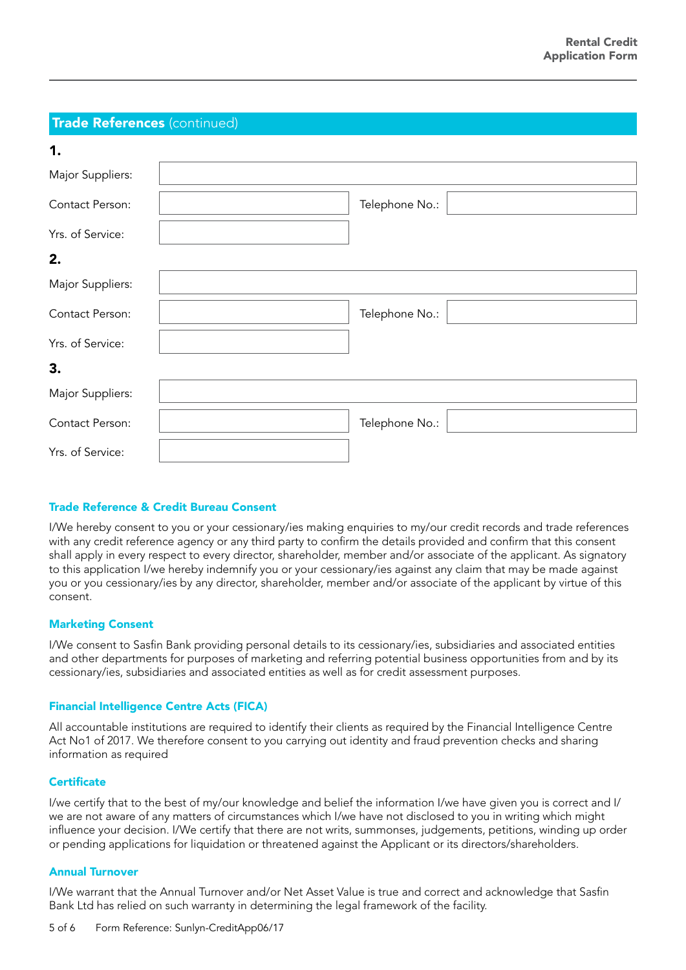### Trade References (continued)

| 1.               |                |
|------------------|----------------|
| Major Suppliers: |                |
| Contact Person:  | Telephone No.: |
| Yrs. of Service: |                |
| 2.               |                |
| Major Suppliers: |                |
| Contact Person:  | Telephone No.: |
| Yrs. of Service: |                |
| 3.               |                |
| Major Suppliers: |                |
| Contact Person:  | Telephone No.: |
| Yrs. of Service: |                |

#### Trade Reference & Credit Bureau Consent

I/We hereby consent to you or your cessionary/ies making enquiries to my/our credit records and trade references with any credit reference agency or any third party to confirm the details provided and confirm that this consent shall apply in every respect to every director, shareholder, member and/or associate of the applicant. As signatory to this application I/we hereby indemnify you or your cessionary/ies against any claim that may be made against you or you cessionary/ies by any director, shareholder, member and/or associate of the applicant by virtue of this consent.

#### Marketing Consent

I/We consent to Sasfin Bank providing personal details to its cessionary/ies, subsidiaries and associated entities and other departments for purposes of marketing and referring potential business opportunities from and by its cessionary/ies, subsidiaries and associated entities as well as for credit assessment purposes.

#### Financial Intelligence Centre Acts (FICA)

All accountable institutions are required to identify their clients as required by the Financial Intelligence Centre Act No1 of 2017. We therefore consent to you carrying out identity and fraud prevention checks and sharing information as required

#### **Certificate**

I/we certify that to the best of my/our knowledge and belief the information I/we have given you is correct and I/ we are not aware of any matters of circumstances which I/we have not disclosed to you in writing which might influence your decision. I/We certify that there are not writs, summonses, judgements, petitions, winding up order or pending applications for liquidation or threatened against the Applicant or its directors/shareholders.

### Annual Turnover

I/We warrant that the Annual Turnover and/or Net Asset Value is true and correct and acknowledge that Sasfin Bank Ltd has relied on such warranty in determining the legal framework of the facility.